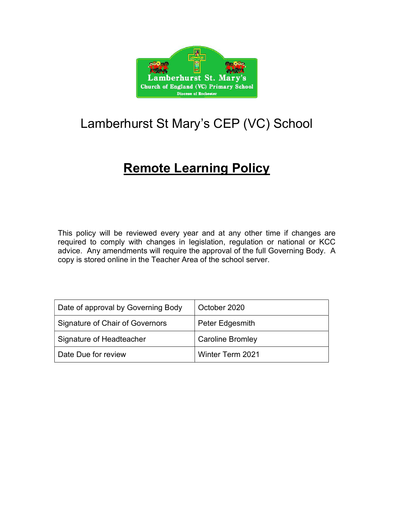

# Lamberhurst St Mary's CEP (VC) School

# Remote Learning Policy

This policy will be reviewed every year and at any other time if changes are required to comply with changes in legislation, regulation or national or KCC advice. Any amendments will require the approval of the full Governing Body. A copy is stored online in the Teacher Area of the school server.

| Date of approval by Governing Body | October 2020            |
|------------------------------------|-------------------------|
| Signature of Chair of Governors    | Peter Edgesmith         |
| Signature of Headteacher           | <b>Caroline Bromley</b> |
| Date Due for review                | Winter Term 2021        |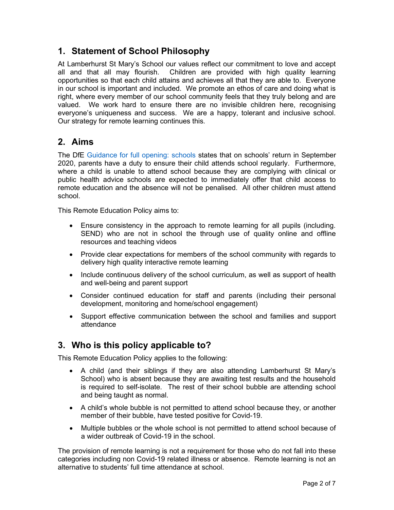# 1. Statement of School Philosophy

At Lamberhurst St Mary's School our values reflect our commitment to love and accept all and that all may flourish. Children are provided with high quality learning opportunities so that each child attains and achieves all that they are able to. Everyone in our school is important and included. We promote an ethos of care and doing what is right, where every member of our school community feels that they truly belong and are valued. We work hard to ensure there are no invisible children here, recognising everyone's uniqueness and success. We are a happy, tolerant and inclusive school. Our strategy for remote learning continues this.

# 2. Aims

The DfE Guidance for full opening: schools states that on schools' return in September 2020, parents have a duty to ensure their child attends school regularly. Furthermore, where a child is unable to attend school because they are complying with clinical or public health advice schools are expected to immediately offer that child access to remote education and the absence will not be penalised. All other children must attend school.

This Remote Education Policy aims to:

- Ensure consistency in the approach to remote learning for all pupils (including. SEND) who are not in school the through use of quality online and offline resources and teaching videos
- Provide clear expectations for members of the school community with regards to delivery high quality interactive remote learning
- Include continuous delivery of the school curriculum, as well as support of health and well-being and parent support
- Consider continued education for staff and parents (including their personal development, monitoring and home/school engagement)
- Support effective communication between the school and families and support attendance

# 3. Who is this policy applicable to?

This Remote Education Policy applies to the following:

- A child (and their siblings if they are also attending Lamberhurst St Mary's School) who is absent because they are awaiting test results and the household is required to self-isolate. The rest of their school bubble are attending school and being taught as normal.
- A child's whole bubble is not permitted to attend school because they, or another member of their bubble, have tested positive for Covid-19.
- Multiple bubbles or the whole school is not permitted to attend school because of a wider outbreak of Covid-19 in the school.

The provision of remote learning is not a requirement for those who do not fall into these categories including non Covid-19 related illness or absence. Remote learning is not an alternative to students' full time attendance at school.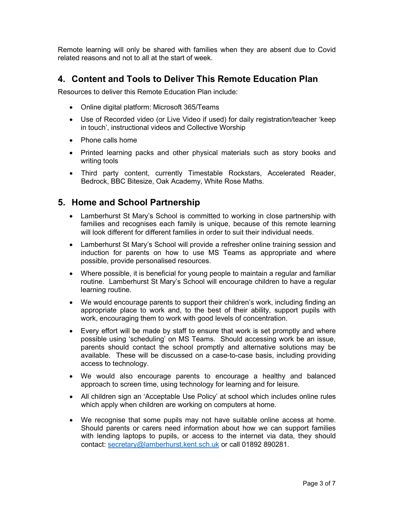Remote learning will only be shared with families when they are absent due to Covid related reasons and not to all at the start of week.

# 4. Content and Tools to Deliver This Remote Education Plan

Resources to deliver this Remote Education Plan include:

- Online digital platform: Microsoft 365/Teams
- Use of Recorded video (or Live Video if used) for daily registration/teacher 'keep in touch', instructional videos and Collective Worship
- Phone calls home
- Printed learning packs and other physical materials such as story books and writing tools
- Third party content, currently Timestable Rockstars, Accelerated Reader, Bedrock, BBC Bitesize, Oak Academy, White Rose Maths.

# 5. Home and School Partnership

- Lamberhurst St Mary's School is committed to working in close partnership with families and recognises each family is unique, because of this remote learning will look different for different families in order to suit their individual needs.
- Lamberhurst St Mary's School will provide a refresher online training session and induction for parents on how to use MS Teams as appropriate and where possible, provide personalised resources.
- Where possible, it is beneficial for young people to maintain a regular and familiar routine. Lamberhurst St Mary's School will encourage children to have a regular learning routine.
- We would encourage parents to support their children's work, including finding an appropriate place to work and, to the best of their ability, support pupils with work, encouraging them to work with good levels of concentration.
- Every effort will be made by staff to ensure that work is set promptly and where possible using 'scheduling' on MS Teams. Should accessing work be an issue, parents should contact the school promptly and alternative solutions may be available. These will be discussed on a case-to-case basis, including providing access to technology.
- We would also encourage parents to encourage a healthy and balanced approach to screen time, using technology for learning and for leisure.
- All children sign an 'Acceptable Use Policy' at school which includes online rules which apply when children are working on computers at home.
- We recognise that some pupils may not have suitable online access at home. Should parents or carers need information about how we can support families with lending laptops to pupils, or access to the internet via data, they should contact: secretary@lamberhurst.kent.sch.uk or call 01892 890281.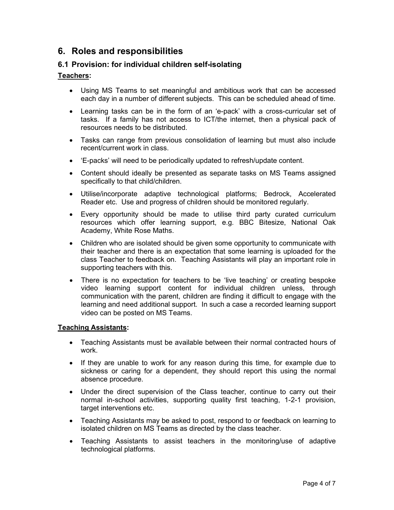# 6. Roles and responsibilities

## 6.1 Provision: for individual children self-isolating

## Teachers:

- Using MS Teams to set meaningful and ambitious work that can be accessed each day in a number of different subjects. This can be scheduled ahead of time.
- Learning tasks can be in the form of an 'e-pack' with a cross-curricular set of tasks. If a family has not access to ICT/the internet, then a physical pack of resources needs to be distributed.
- Tasks can range from previous consolidation of learning but must also include recent/current work in class.
- 'E-packs' will need to be periodically updated to refresh/update content.
- Content should ideally be presented as separate tasks on MS Teams assigned specifically to that child/children.
- Utilise/incorporate adaptive technological platforms; Bedrock, Accelerated Reader etc. Use and progress of children should be monitored regularly.
- Every opportunity should be made to utilise third party curated curriculum resources which offer learning support, e.g. BBC Bitesize, National Oak Academy, White Rose Maths.
- Children who are isolated should be given some opportunity to communicate with their teacher and there is an expectation that some learning is uploaded for the class Teacher to feedback on. Teaching Assistants will play an important role in supporting teachers with this.
- There is no expectation for teachers to be 'live teaching' or creating bespoke video learning support content for individual children unless, through communication with the parent, children are finding it difficult to engage with the learning and need additional support. In such a case a recorded learning support video can be posted on MS Teams.

## Teaching Assistants:

- Teaching Assistants must be available between their normal contracted hours of work.
- If they are unable to work for any reason during this time, for example due to sickness or caring for a dependent, they should report this using the normal absence procedure.
- Under the direct supervision of the Class teacher, continue to carry out their normal in-school activities, supporting quality first teaching, 1-2-1 provision, target interventions etc.
- Teaching Assistants may be asked to post, respond to or feedback on learning to isolated children on MS Teams as directed by the class teacher.
- Teaching Assistants to assist teachers in the monitoring/use of adaptive technological platforms.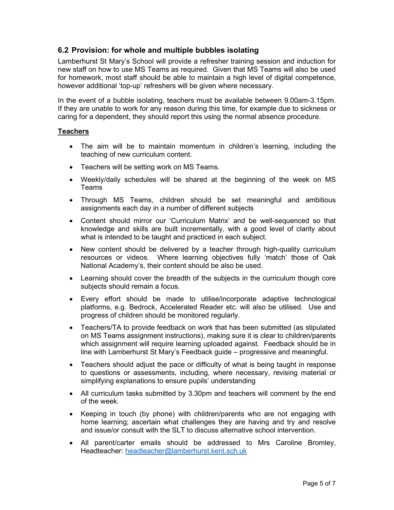## 6.2 Provision: for whole and multiple bubbles isolating

Lamberhurst St Mary's School will provide a refresher training session and induction for new staff on how to use MS Teams as required. Given that MS Teams will also be used for homework, most staff should be able to maintain a high level of digital competence, however additional 'top-up' refreshers will be given where necessary.

In the event of a bubble isolating, teachers must be available between 9.00am-3.15pm. If they are unable to work for any reason during this time, for example due to sickness or caring for a dependent, they should report this using the normal absence procedure.

#### **Teachers**

- The aim will be to maintain momentum in children's learning, including the teaching of new curriculum content.
- Teachers will be setting work on MS Teams.
- Weekly/daily schedules will be shared at the beginning of the week on MS Teams
- Through MS Teams, children should be set meaningful and ambitious assignments each day in a number of different subjects
- Content should mirror our 'Curriculum Matrix' and be well-sequenced so that knowledge and skills are built incrementally, with a good level of clarity about what is intended to be taught and practiced in each subject.
- New content should be delivered by a teacher through high-quality curriculum resources or videos. Where learning objectives fully 'match' those of Oak National Academy's, their content should be also be used.
- Learning should cover the breadth of the subjects in the curriculum though core subjects should remain a focus.
- Every effort should be made to utilise/incorporate adaptive technological platforms, e.g. Bedrock, Accelerated Reader etc. will also be utilised. Use and progress of children should be monitored regularly.
- Teachers/TA to provide feedback on work that has been submitted (as stipulated on MS Teams assignment instructions), making sure it is clear to children/parents which assignment will require learning uploaded against. Feedback should be in line with Lamberhurst St Mary's Feedback guide – progressive and meaningful.
- Teachers should adjust the pace or difficulty of what is being taught in response to questions or assessments, including, where necessary, revising material or simplifying explanations to ensure pupils' understanding
- All curriculum tasks submitted by 3.30pm and teachers will comment by the end of the week.
- Keeping in touch (by phone) with children/parents who are not engaging with home learning; ascertain what challenges they are having and try and resolve and issue/or consult with the SLT to discuss alternative school intervention.
- All parent/carter emails should be addressed to Mrs Caroline Bromley, Headteacher: headteacher@lamberhurst.kent.sch.uk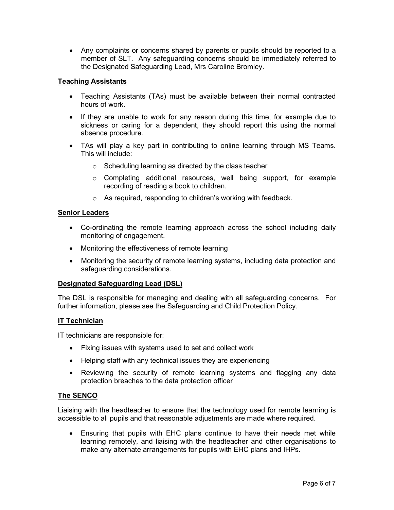Any complaints or concerns shared by parents or pupils should be reported to a member of SLT. Any safeguarding concerns should be immediately referred to the Designated Safeguarding Lead, Mrs Caroline Bromley.

## Teaching Assistants

- Teaching Assistants (TAs) must be available between their normal contracted hours of work.
- If they are unable to work for any reason during this time, for example due to sickness or caring for a dependent, they should report this using the normal absence procedure.
- TAs will play a key part in contributing to online learning through MS Teams. This will include:
	- o Scheduling learning as directed by the class teacher
	- $\circ$  Completing additional resources, well being support, for example recording of reading a book to children.
	- o As required, responding to children's working with feedback.

## Senior Leaders

- Co-ordinating the remote learning approach across the school including daily monitoring of engagement.
- Monitoring the effectiveness of remote learning
- Monitoring the security of remote learning systems, including data protection and safeguarding considerations.

## Designated Safeguarding Lead (DSL)

The DSL is responsible for managing and dealing with all safeguarding concerns. For further information, please see the Safeguarding and Child Protection Policy.

## IT Technician

IT technicians are responsible for:

- Fixing issues with systems used to set and collect work
- Helping staff with any technical issues they are experiencing
- Reviewing the security of remote learning systems and flagging any data protection breaches to the data protection officer

## The SENCO

Liaising with the headteacher to ensure that the technology used for remote learning is accessible to all pupils and that reasonable adjustments are made where required.

 Ensuring that pupils with EHC plans continue to have their needs met while learning remotely, and liaising with the headteacher and other organisations to make any alternate arrangements for pupils with EHC plans and IHPs.